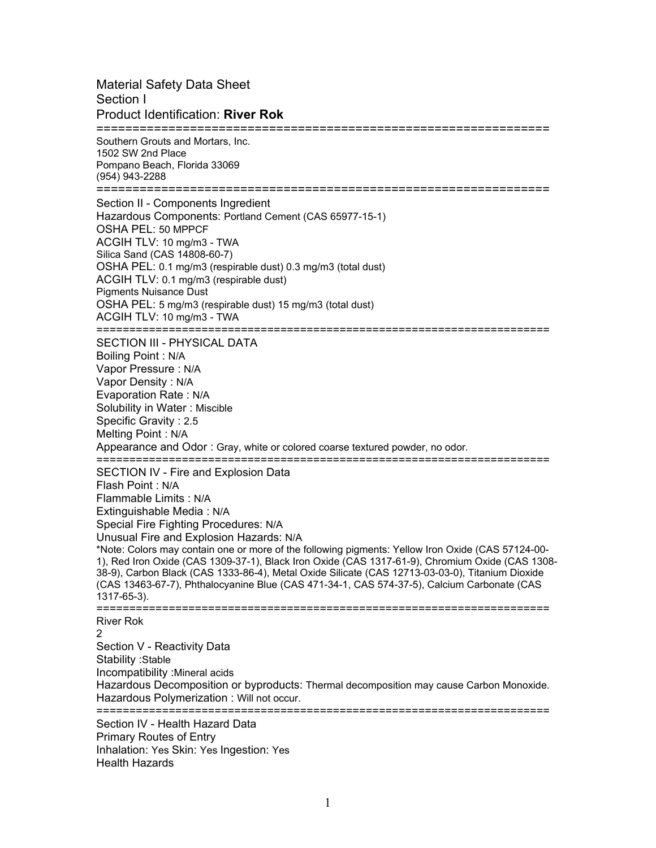Material Safety Data Sheet Section I Product Identification: **River Rok** =============================================================== Southern Grouts and Mortars, Inc. 1502 SW 2nd Place Pompano Beach, Florida 33069 (954) 943-2288 =============================================================== Section II - Components Ingredient Hazardous Components: Portland Cement (CAS 65977-15-1) OSHA PEL: 50 MPPCF ACGIH TLV: 10 mg/m3 - TWA Silica Sand (CAS 14808-60-7) OSHA PEL: 0.1 mg/m3 (respirable dust) 0.3 mg/m3 (total dust) ACGIH TLV: 0.1 mg/m3 (respirable dust) Pigments Nuisance Dust OSHA PEL: 5 mg/m3 (respirable dust) 15 mg/m3 (total dust) ACGIH TLV: 10 mg/m3 - TWA ===================================================================== SECTION III - PHYSICAL DATA Boiling Point : N/A Vapor Pressure : N/A Vapor Density : N/A Evaporation Rate : N/A Solubility in Water : Miscible Specific Gravity : 2.5 Melting Point : N/A Appearance and Odor : Gray, white or colored coarse textured powder, no odor. ===================================================================== SECTION IV - Fire and Explosion Data Flash Point : N/A Flammable Limits : N/A Extinguishable Media : N/A Special Fire Fighting Procedures: N/A Unusual Fire and Explosion Hazards: N/A \*Note: Colors may contain one or more of the following pigments: Yellow Iron Oxide (CAS 57124-00- 1), Red Iron Oxide (CAS 1309-37-1), Black Iron Oxide (CAS 1317-61-9), Chromium Oxide (CAS 1308- 38-9), Carbon Black (CAS 1333-86-4), Metal Oxide Silicate (CAS 12713-03-03-0), Titanium Dioxide (CAS 13463-67-7), Phthalocyanine Blue (CAS 471-34-1, CAS 574-37-5), Calcium Carbonate (CAS 1317-65-3). ===================================================================== River Rok 2 Section V - Reactivity Data Stability :Stable Incompatibility :Mineral acids Hazardous Decomposition or byproducts: Thermal decomposition may cause Carbon Monoxide. Hazardous Polymerization : Will not occur. ===================================================================== Section IV - Health Hazard Data Primary Routes of Entry Inhalation: Yes Skin: Yes Ingestion: Yes

Health Hazards